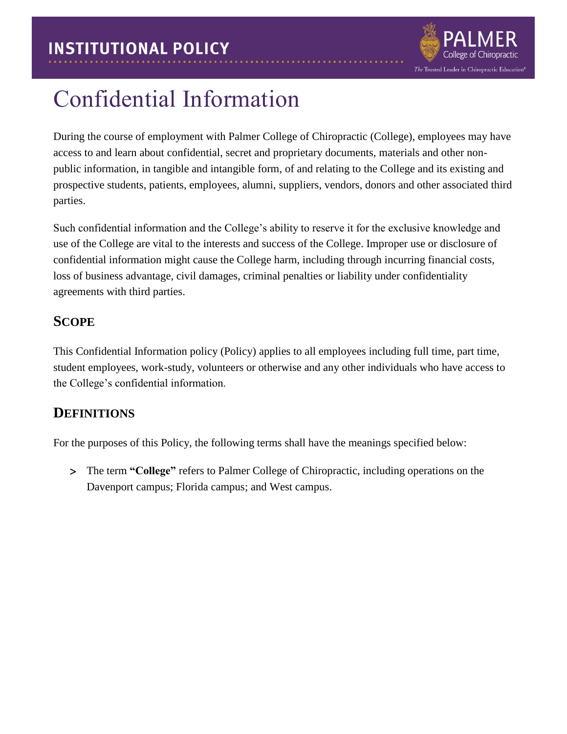

# Confidential Information

During the course of employment with Palmer College of Chiropractic (College), employees may have access to and learn about confidential, secret and proprietary documents, materials and other nonpublic information, in tangible and intangible form, of and relating to the College and its existing and prospective students, patients, employees, alumni, suppliers, vendors, donors and other associated third parties.

Such confidential information and the College's ability to reserve it for the exclusive knowledge and use of the College are vital to the interests and success of the College. Improper use or disclosure of confidential information might cause the College harm, including through incurring financial costs, loss of business advantage, civil damages, criminal penalties or liability under confidentiality agreements with third parties.

# **SCOPE**

This Confidential Information policy (Policy) applies to all employees including full time, part time, student employees, work-study, volunteers or otherwise and any other individuals who have access to the College's confidential information.

# **DEFINITIONS**

For the purposes of this Policy, the following terms shall have the meanings specified below:

 The term **"College"** refers to Palmer College of Chiropractic, including operations on the Davenport campus; Florida campus; and West campus.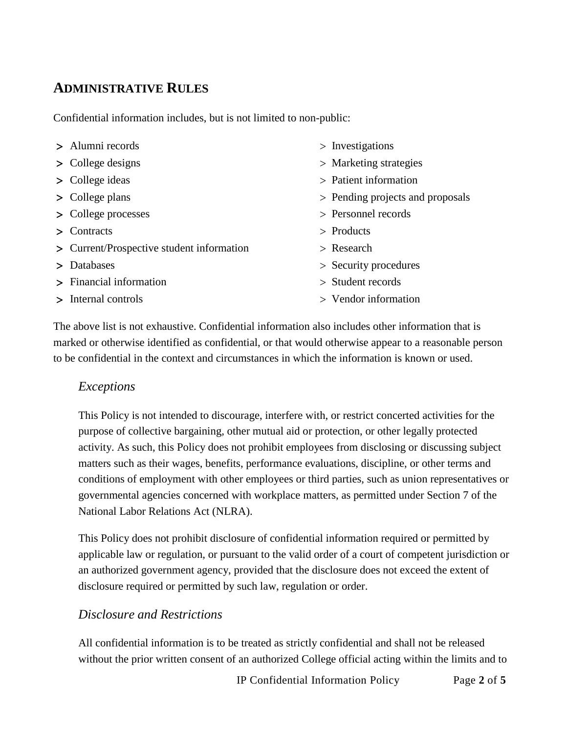# **ADMINISTRATIVE RULES**

Confidential information includes, but is not limited to non-public:

| > Alumni records                          | $>$ Investigations               |
|-------------------------------------------|----------------------------------|
| > College designs                         | > Marketing strategies           |
| > College ideas                           | > Patient information            |
| $>$ College plans                         | > Pending projects and proposals |
| > College processes                       | > Personnel records              |
| Contracts                                 | $>$ Products                     |
| > Current/Prospective student information | $>$ Research                     |
| Databases                                 | > Security procedures            |
| > Financial information                   | $>$ Student records              |
| Internal controls                         | $>$ Vendor information           |
|                                           |                                  |

The above list is not exhaustive. Confidential information also includes other information that is marked or otherwise identified as confidential, or that would otherwise appear to a reasonable person to be confidential in the context and circumstances in which the information is known or used.

### *Exceptions*

This Policy is not intended to discourage, interfere with, or restrict concerted activities for the purpose of collective bargaining, other mutual aid or protection, or other legally protected activity. As such, this Policy does not prohibit employees from disclosing or discussing subject matters such as their wages, benefits, performance evaluations, discipline, or other terms and conditions of employment with other employees or third parties, such as union representatives or governmental agencies concerned with workplace matters, as permitted under Section 7 of the National Labor Relations Act (NLRA).

This Policy does not prohibit disclosure of confidential information required or permitted by applicable law or regulation, or pursuant to the valid order of a court of competent jurisdiction or an authorized government agency, provided that the disclosure does not exceed the extent of disclosure required or permitted by such law, regulation or order.

### *Disclosure and Restrictions*

All confidential information is to be treated as strictly confidential and shall not be released without the prior written consent of an authorized College official acting within the limits and to

IP Confidential Information Policy Page **2** of **5**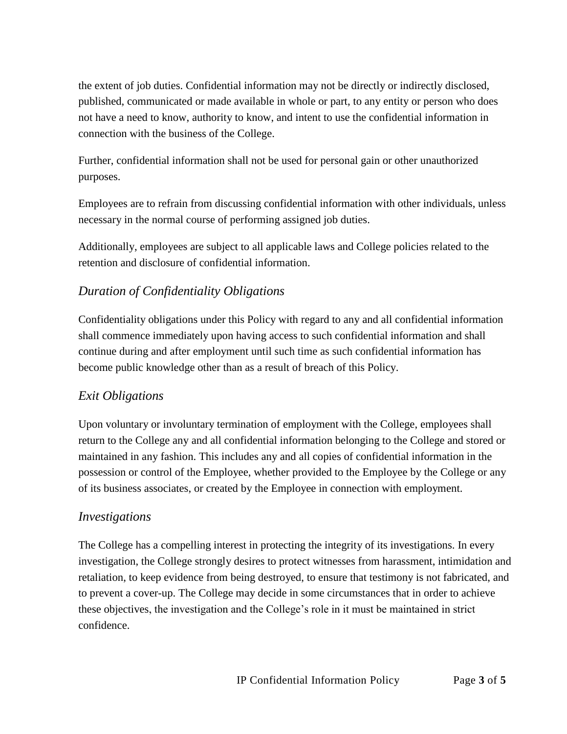the extent of job duties. Confidential information may not be directly or indirectly disclosed, published, communicated or made available in whole or part, to any entity or person who does not have a need to know, authority to know, and intent to use the confidential information in connection with the business of the College.

Further, confidential information shall not be used for personal gain or other unauthorized purposes.

Employees are to refrain from discussing confidential information with other individuals, unless necessary in the normal course of performing assigned job duties.

Additionally, employees are subject to all applicable laws and College policies related to the retention and disclosure of confidential information.

## *Duration of Confidentiality Obligations*

Confidentiality obligations under this Policy with regard to any and all confidential information shall commence immediately upon having access to such confidential information and shall continue during and after employment until such time as such confidential information has become public knowledge other than as a result of breach of this Policy.

### *Exit Obligations*

Upon voluntary or involuntary termination of employment with the College, employees shall return to the College any and all confidential information belonging to the College and stored or maintained in any fashion. This includes any and all copies of confidential information in the possession or control of the Employee, whether provided to the Employee by the College or any of its business associates, or created by the Employee in connection with employment.

### *Investigations*

The College has a compelling interest in protecting the integrity of its investigations. In every investigation, the College strongly desires to protect witnesses from harassment, intimidation and retaliation, to keep evidence from being destroyed, to ensure that testimony is not fabricated, and to prevent a cover-up. The College may decide in some circumstances that in order to achieve these objectives, the investigation and the College's role in it must be maintained in strict confidence.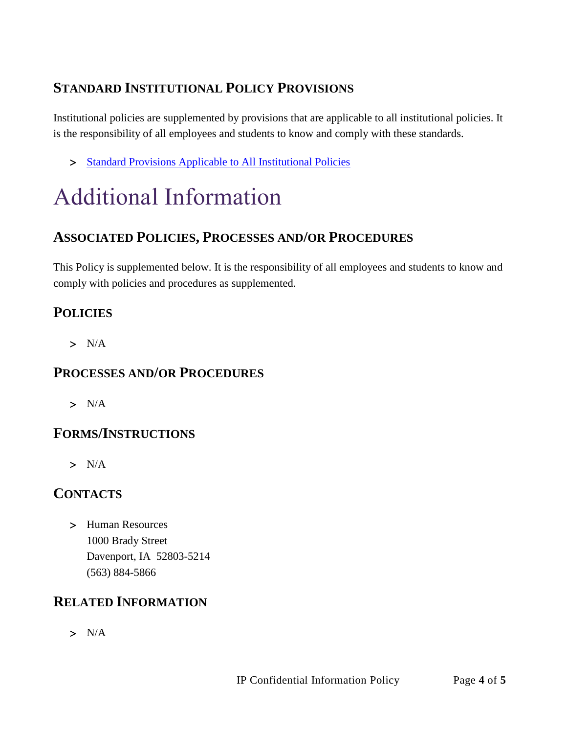# **STANDARD INSTITUTIONAL POLICY PROVISIONS**

Institutional policies are supplemented by provisions that are applicable to all institutional policies. It is the responsibility of all employees and students to know and comply with these standards.

> [Standard Provisions Applicable to All Institutional Policies](http://www.palmer.edu/uploadedFiles/Pages/Students/Resources_and_Offices/Handbook_and_Policies/_pdf/Standard-Provisions-Applicable-to-All-Institutional-Policies.pdf)

# Additional Information

# **ASSOCIATED POLICIES, PROCESSES AND/OR PROCEDURES**

This Policy is supplemented below. It is the responsibility of all employees and students to know and comply with policies and procedures as supplemented.

# **POLICIES**

 $> N/A$ 

## **PROCESSES AND/OR PROCEDURES**

 $> N/A$ 

# **FORMS/INSTRUCTIONS**

 $> N/A$ 

# **CONTACTS**

 Human Resources 1000 Brady Street Davenport, IA 52803-5214 (563) 884-5866

# **RELATED INFORMATION**

 $> N/A$